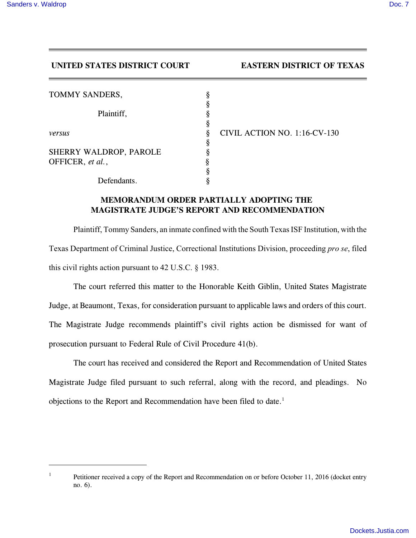## **UNITED STATES DISTRICT COURT EASTERN DISTRICT OF TEXAS**

| TOMMY SANDERS,         | 8      |                    |
|------------------------|--------|--------------------|
| Plaintiff,             |        |                    |
|                        | ş      |                    |
| versus                 | 8<br>ş | <b>CIVIL ACTIO</b> |
| SHERRY WALDROP, PAROLE |        |                    |
| OFFICER, et al.,       | Ş      |                    |
|                        | 8      |                    |
| Defendants.            |        |                    |

*DN NO. 1:16-CV-130* 

## **MEMORANDUM ORDER PARTIALLY ADOPTING THE MAGISTRATE JUDGE'S REPORT AND RECOMMENDATION**

Plaintiff, Tommy Sanders, an inmate confined with the South Texas ISF Institution, with the Texas Department of Criminal Justice, Correctional Institutions Division, proceeding *pro se*, filed this civil rights action pursuant to 42 U.S.C. § 1983.

The court referred this matter to the Honorable Keith Giblin, United States Magistrate Judge, at Beaumont, Texas, for consideration pursuant to applicable laws and orders of this court. The Magistrate Judge recommends plaintiff's civil rights action be dismissed for want of prosecution pursuant to Federal Rule of Civil Procedure 41(b).

The court has received and considered the Report and Recommendation of United States Magistrate Judge filed pursuant to such referral, along with the record, and pleadings. No objections to the Report and Recommendation have been filed to date. $<sup>1</sup>$ </sup>

<sup>1</sup> Petitioner received a copy of the Report and Recommendation on or before October 11, 2016 (docket entry no. 6).